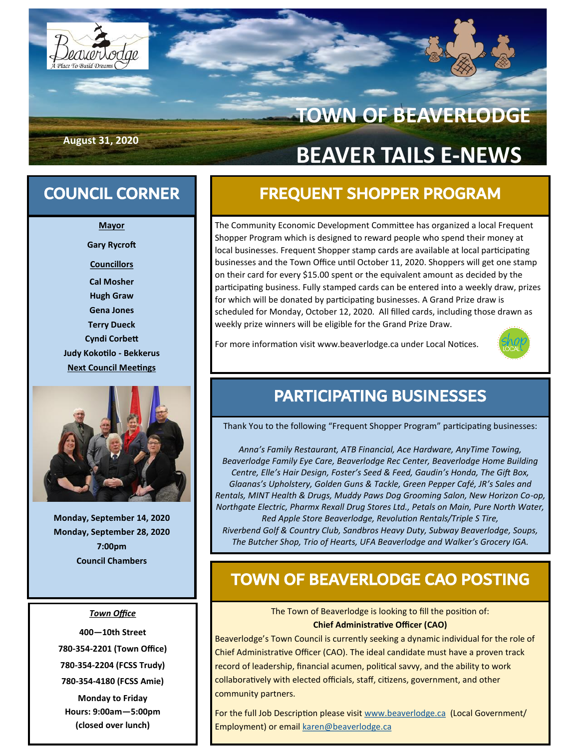

# **TOWN OF BEAVERLODGE BEAVER TAILS E-NEWS**

**August 31, 2020**

**Mayor Gary Rycroft Councillors Cal Mosher Hugh Graw Gena Jones Terry Dueck Cyndi Corbett Judy Kokotilo - Bekkerus Next Council Meetings**



**Monday, September 14, 2020 Monday, September 28, 2020 7:00pm Council Chambers**

#### *Town Office*

**—10th Street -354-2201 (Town Office) -354-2204 (FCSS Trudy) -354-4180 (FCSS Amie)**

**Monday to Friday Hours: 9:00am—5:00pm (closed over lunch)**

## COUNCIL CORNER FREQUENT SHOPPER PROGRAM

The Community Economic Development Committee has organized a local Frequent Shopper Program which is designed to reward people who spend their money at local businesses. Frequent Shopper stamp cards are available at local participating businesses and the Town Office until October 11, 2020. Shoppers will get one stamp on their card for every \$15.00 spent or the equivalent amount as decided by the participating business. Fully stamped cards can be entered into a weekly draw, prizes for which will be donated by participating businesses. A Grand Prize draw is scheduled for Monday, October 12, 2020. All filled cards, including those drawn as weekly prize winners will be eligible for the Grand Prize Draw.

For more information visit www.beaverlodge.ca under Local Notices.



### PARTICIPATING BUSINESSES

Thank You to the following "Frequent Shopper Program" participating businesses:

*Anna's Family Restaurant, ATB Financial, Ace Hardware, AnyTime Towing, Beaverlodge Family Eye Care, Beaverlodge Rec Center, Beaverlodge Home Building Centre, Elle's Hair Design, Foster's Seed & Feed, Gaudin's Honda, The Gift Box, Glaanas's Upholstery, Golden Guns & Tackle, Green Pepper Café, JR's Sales and Rentals, MINT Health & Drugs, Muddy Paws Dog Grooming Salon, New Horizon Co-op, Northgate Electric, Pharmx Rexall Drug Stores Ltd., Petals on Main, Pure North Water, Red Apple Store Beaverlodge, Revolution Rentals/Triple S Tire, Riverbend Golf & Country Club, Sandbros Heavy Duty, Subway Beaverlodge, Soups, The Butcher Shop, Trio of Hearts, UFA Beaverlodge and Walker's Grocery IGA.* 

### TOWN OF BEAVERLODGE CAO POSTING

The Town of Beaverlodge is looking to fill the position of: **Chief Administrative Officer (CAO)**

Beaverlodge's Town Council is currently seeking a dynamic individual for the role of Chief Administrative Officer (CAO). The ideal candidate must have a proven track record of leadership, financial acumen, political savvy, and the ability to work collaboratively with elected officials, staff, citizens, government, and other community partners.

For the full Job Description please visit [www.beaverlodge.ca](http://www.beaverlodge.ca) (Local Government/ Employment) or email [karen@beaverlodge.ca](mailto:karen@beaverlodge.ca)